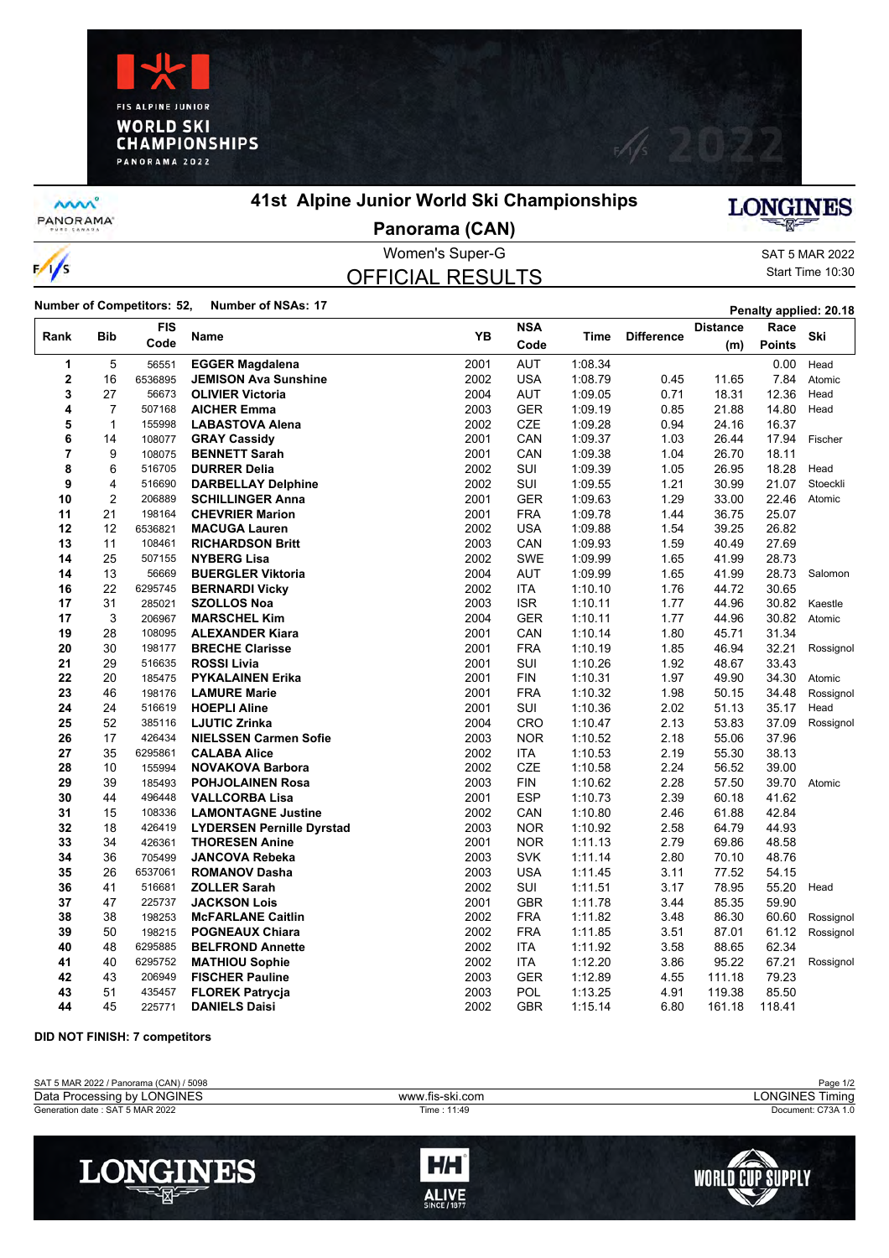



**MW** PANORAMA<sup>-</sup>

 $\frac{1}{s}$ 

### **41st Alpine Junior World Ski Championships**



**Panorama (CAN)**

# OFFICIAL RESULTS

Women's Super-G SAT 5 MAR 2022 Start Time 10:30

**Number of Competitors: 52, Number of NSAs: 17 Penalty applied: 20.18 Penalty applied: 20.18** 

| Rank           | <b>Bib</b>     | <b>FIS</b> | Name                             | <b>YB</b> | <b>NSA</b> |         | <b>Difference</b> | <b>Distance</b> | Race   |           |
|----------------|----------------|------------|----------------------------------|-----------|------------|---------|-------------------|-----------------|--------|-----------|
|                |                | Code       |                                  |           | Code       | Time    |                   | (m)             | Points | Ski       |
| 1              | 5              | 56551      | <b>EGGER Magdalena</b>           | 2001      | <b>AUT</b> | 1:08.34 |                   |                 | 0.00   | Head      |
| $\mathbf 2$    | 16             | 6536895    | <b>JEMISON Ava Sunshine</b>      | 2002      | <b>USA</b> | 1:08.79 | 0.45              | 11.65           | 7.84   | Atomic    |
| 3              | 27             | 56673      | <b>OLIVIER Victoria</b>          | 2004      | AUT        | 1:09.05 | 0.71              | 18.31           | 12.36  | Head      |
| 4              | $\overline{7}$ | 507168     | <b>AICHER Emma</b>               | 2003      | <b>GER</b> | 1:09.19 | 0.85              | 21.88           | 14.80  | Head      |
| 5              | $\mathbf{1}$   | 155998     | <b>LABASTOVA Alena</b>           | 2002      | CZE        | 1:09.28 | 0.94              | 24.16           | 16.37  |           |
| 6              | 14             | 108077     | <b>GRAY Cassidy</b>              | 2001      | CAN        | 1:09.37 | 1.03              | 26.44           | 17.94  | Fischer   |
| $\overline{7}$ | 9              | 108075     | <b>BENNETT Sarah</b>             | 2001      | CAN        | 1:09.38 | 1.04              | 26.70           | 18.11  |           |
| 8              | 6              | 516705     | <b>DURRER Delia</b>              | 2002      | SUI        | 1:09.39 | 1.05              | 26.95           | 18.28  | Head      |
| 9              | 4              | 516690     | <b>DARBELLAY Delphine</b>        | 2002      | SUI        | 1:09.55 | 1.21              | 30.99           | 21.07  | Stoeckli  |
| 10             | $\overline{2}$ | 206889     | <b>SCHILLINGER Anna</b>          | 2001      | <b>GER</b> | 1:09.63 | 1.29              | 33.00           | 22.46  | Atomic    |
| 11             | 21             | 198164     | <b>CHEVRIER Marion</b>           | 2001      | <b>FRA</b> | 1:09.78 | 1.44              | 36.75           | 25.07  |           |
| 12             | 12             | 6536821    | <b>MACUGA Lauren</b>             | 2002      | <b>USA</b> | 1:09.88 | 1.54              | 39.25           | 26.82  |           |
| 13             | 11             | 108461     | <b>RICHARDSON Britt</b>          | 2003      | CAN        | 1:09.93 | 1.59              | 40.49           | 27.69  |           |
| 14             | 25             | 507155     | <b>NYBERG Lisa</b>               | 2002      | <b>SWE</b> | 1:09.99 | 1.65              | 41.99           | 28.73  |           |
| 14             | 13             | 56669      | <b>BUERGLER Viktoria</b>         | 2004      | <b>AUT</b> | 1:09.99 | 1.65              | 41.99           | 28.73  | Salomon   |
| 16             | 22             | 6295745    | <b>BERNARDI Vicky</b>            | 2002      | <b>ITA</b> | 1:10.10 | 1.76              | 44.72           | 30.65  |           |
| 17             | 31             | 285021     | <b>SZOLLOS Noa</b>               | 2003      | <b>ISR</b> | 1:10.11 | 1.77              | 44.96           | 30.82  | Kaestle   |
| 17             | 3              | 206967     | <b>MARSCHEL Kim</b>              | 2004      | <b>GER</b> | 1:10.11 | 1.77              | 44.96           | 30.82  | Atomic    |
| 19             | 28             | 108095     | <b>ALEXANDER Kiara</b>           | 2001      | CAN        | 1:10.14 | 1.80              | 45.71           | 31.34  |           |
| 20             | 30             | 198177     | <b>BRECHE Clarisse</b>           | 2001      | <b>FRA</b> | 1:10.19 | 1.85              | 46.94           | 32.21  | Rossignol |
| 21             | 29             | 516635     | <b>ROSSI Livia</b>               | 2001      | SUI        | 1:10.26 | 1.92              | 48.67           | 33.43  |           |
| 22             | 20             | 185475     | <b>PYKALAINEN Erika</b>          | 2001      | <b>FIN</b> | 1:10.31 | 1.97              | 49.90           | 34.30  | Atomic    |
| 23             | 46             | 198176     | <b>LAMURE Marie</b>              | 2001      | <b>FRA</b> | 1:10.32 | 1.98              | 50.15           | 34.48  | Rossignol |
| 24             | 24             | 516619     | <b>HOEPLI Aline</b>              | 2001      | SUI        | 1:10.36 | 2.02              | 51.13           | 35.17  | Head      |
| 25             | 52             | 385116     | <b>LJUTIC Zrinka</b>             | 2004      | <b>CRO</b> | 1:10.47 | 2.13              | 53.83           | 37.09  | Rossignol |
| 26             | 17             | 426434     | <b>NIELSSEN Carmen Sofie</b>     | 2003      | <b>NOR</b> | 1:10.52 | 2.18              | 55.06           | 37.96  |           |
| 27             | 35             | 6295861    | <b>CALABA Alice</b>              | 2002      | <b>ITA</b> | 1:10.53 | 2.19              | 55.30           | 38.13  |           |
| 28             | 10             | 155994     | <b>NOVAKOVA Barbora</b>          | 2002      | <b>CZE</b> | 1:10.58 | 2.24              | 56.52           | 39.00  |           |
| 29             | 39             | 185493     | <b>POHJOLAINEN Rosa</b>          | 2003      | <b>FIN</b> | 1:10.62 | 2.28              | 57.50           | 39.70  | Atomic    |
| 30             | 44             | 496448     | <b>VALLCORBA Lisa</b>            | 2001      | <b>ESP</b> | 1:10.73 | 2.39              | 60.18           | 41.62  |           |
| 31             | 15             | 108336     | <b>LAMONTAGNE Justine</b>        | 2002      | CAN        | 1:10.80 | 2.46              | 61.88           | 42.84  |           |
| 32             | 18             | 426419     | <b>LYDERSEN Pernille Dyrstad</b> | 2003      | <b>NOR</b> | 1:10.92 | 2.58              | 64.79           | 44.93  |           |
| 33             | 34             | 426361     | <b>THORESEN Anine</b>            | 2001      | <b>NOR</b> | 1:11.13 | 2.79              | 69.86           | 48.58  |           |
| 34             | 36             | 705499     | <b>JANCOVA Rebeka</b>            | 2003      | <b>SVK</b> | 1:11.14 | 2.80              | 70.10           | 48.76  |           |
| 35             | 26             | 6537061    | <b>ROMANOV Dasha</b>             | 2003      | <b>USA</b> | 1:11.45 | 3.11              | 77.52           | 54.15  |           |
| 36             | 41             | 516681     | <b>ZOLLER Sarah</b>              | 2002      | SUI        | 1:11.51 | 3.17              | 78.95           | 55.20  | Head      |
| 37             | 47             | 225737     | <b>JACKSON Lois</b>              | 2001      | <b>GBR</b> | 1:11.78 | 3.44              | 85.35           | 59.90  |           |
| 38             | 38             | 198253     | <b>McFARLANE Caitlin</b>         | 2002      | <b>FRA</b> | 1:11.82 | 3.48              | 86.30           | 60.60  | Rossignol |
| 39             | 50             | 198215     | <b>POGNEAUX Chiara</b>           | 2002      | <b>FRA</b> | 1:11.85 | 3.51              | 87.01           | 61.12  | Rossignol |
| 40             | 48             | 6295885    | <b>BELFROND Annette</b>          | 2002      | <b>ITA</b> | 1:11.92 | 3.58              | 88.65           | 62.34  |           |
| 41             | 40             | 6295752    | <b>MATHIOU Sophie</b>            | 2002      | ITA        | 1:12.20 | 3.86              | 95.22           | 67.21  | Rossignol |
| 42             | 43             | 206949     | <b>FISCHER Pauline</b>           | 2003      | <b>GER</b> | 1:12.89 | 4.55              | 111.18          | 79.23  |           |
| 43             | 51             | 435457     | <b>FLOREK Patrycja</b>           | 2003      | POL        | 1:13.25 | 4.91              | 119.38          | 85.50  |           |
| 44             | 45             | 225771     | <b>DANIELS Daisi</b>             | 2002      | <b>GBR</b> | 1:15.14 | 6.80              | 161.18          | 118.41 |           |

**DID NOT FINISH: 7 competitors**

| SAT 5 MAR 2022 / Panorama (CAN) / 5098 |                 | Page 1/2              |
|----------------------------------------|-----------------|-----------------------|
| Data Processing by LONGINES            | www.fis-ski.com | LONGINES Ti<br>Timina |
| Generation date : SAT 5 MAR 2022       | Time : 11:49    | Document: C73A 1.0    |
|                                        |                 |                       |